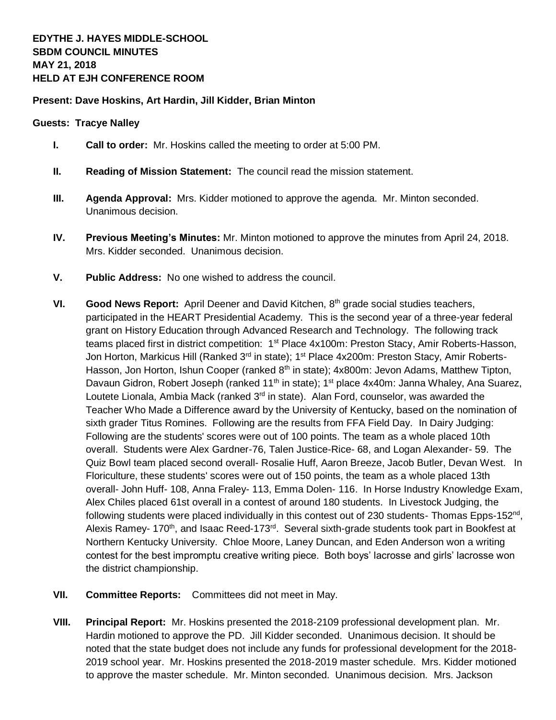## **Present: Dave Hoskins, Art Hardin, Jill Kidder, Brian Minton**

## **Guests: Tracye Nalley**

- **I. Call to order:** Mr. Hoskins called the meeting to order at 5:00 PM.
- **II. Reading of Mission Statement:** The council read the mission statement.
- **III. Agenda Approval:** Mrs. Kidder motioned to approve the agenda. Mr. Minton seconded. Unanimous decision.
- **IV. Previous Meeting's Minutes:** Mr. Minton motioned to approve the minutes from April 24, 2018. Mrs. Kidder seconded. Unanimous decision.
- **V. Public Address:** No one wished to address the council.
- **VI. Good News Report:** April Deener and David Kitchen, 8<sup>th</sup> grade social studies teachers, participated in the HEART Presidential Academy. This is the second year of a three-year federal grant on History Education through Advanced Research and Technology. The following track teams placed first in district competition: 1<sup>st</sup> Place 4x100m: Preston Stacy, Amir Roberts-Hasson, Jon Horton, Markicus Hill (Ranked 3<sup>rd</sup> in state); 1<sup>st</sup> Place 4x200m: Preston Stacy, Amir Roberts-Hasson, Jon Horton, Ishun Cooper (ranked 8<sup>th</sup> in state); 4x800m: Jevon Adams, Matthew Tipton, Davaun Gidron, Robert Joseph (ranked 11<sup>th</sup> in state); 1<sup>st</sup> place 4x40m: Janna Whaley, Ana Suarez, Loutete Lionala, Ambia Mack (ranked  $3<sup>rd</sup>$  in state). Alan Ford, counselor, was awarded the Teacher Who Made a Difference award by the University of Kentucky, based on the nomination of sixth grader Titus Romines. Following are the results from FFA Field Day. In Dairy Judging: Following are the students' scores were out of 100 points. The team as a whole placed 10th overall. Students were Alex Gardner-76, Talen Justice-Rice- 68, and Logan Alexander- 59. The Quiz Bowl team placed second overall- Rosalie Huff, Aaron Breeze, Jacob Butler, Devan West. In Floriculture, these students' scores were out of 150 points, the team as a whole placed 13th overall- John Huff- 108, Anna Fraley- 113, Emma Dolen- 116. In Horse Industry Knowledge Exam, Alex Chiles placed 61st overall in a contest of around 180 students. In Livestock Judging, the following students were placed individually in this contest out of 230 students- Thomas Epps-152<sup>nd</sup>, Alexis Ramey- 170<sup>th</sup>, and Isaac Reed-173<sup>rd</sup>. Several sixth-grade students took part in Bookfest at Northern Kentucky University. Chloe Moore, Laney Duncan, and Eden Anderson won a writing contest for the best impromptu creative writing piece. Both boys' lacrosse and girls' lacrosse won the district championship.
- **VII. Committee Reports:** Committees did not meet in May.
- **VIII. Principal Report:** Mr. Hoskins presented the 2018-2109 professional development plan. Mr. Hardin motioned to approve the PD. Jill Kidder seconded. Unanimous decision. It should be noted that the state budget does not include any funds for professional development for the 2018- 2019 school year. Mr. Hoskins presented the 2018-2019 master schedule. Mrs. Kidder motioned to approve the master schedule. Mr. Minton seconded. Unanimous decision. Mrs. Jackson